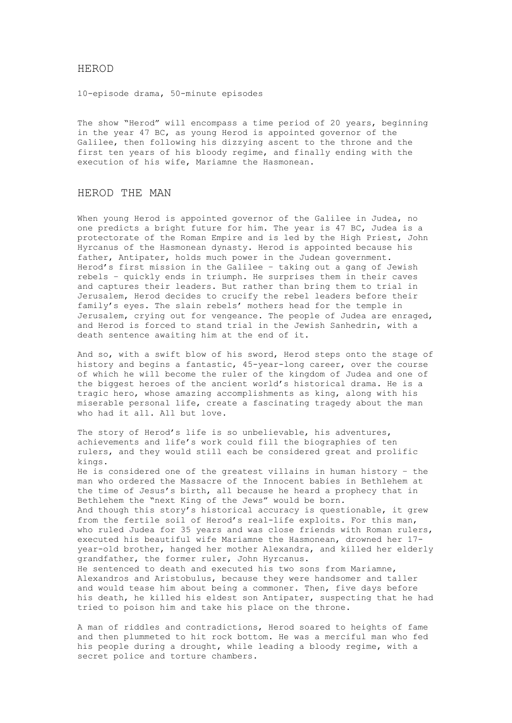## HEROD

10-episode drama, 50-minute episodes

The show "Herod" will encompass a time period of 20 years, beginning in the year 47 BC, as young Herod is appointed governor of the Galilee, then following his dizzying ascent to the throne and the first ten years of his bloody regime, and finally ending with the execution of his wife, Mariamne the Hasmonean.

# HEROD THE MAN

When young Herod is appointed governor of the Galilee in Judea, no one predicts a bright future for him. The year is 47 BC, Judea is a protectorate of the Roman Empire and is led by the High Priest, John Hyrcanus of the Hasmonean dynasty. Herod is appointed because his father, Antipater, holds much power in the Judean government. Herod's first mission in the Galilee – taking out a gang of Jewish rebels – quickly ends in triumph. He surprises them in their caves and captures their leaders. But rather than bring them to trial in Jerusalem, Herod decides to crucify the rebel leaders before their family's eyes. The slain rebels' mothers head for the temple in Jerusalem, crying out for vengeance. The people of Judea are enraged, and Herod is forced to stand trial in the Jewish Sanhedrin, with a death sentence awaiting him at the end of it.

And so, with a swift blow of his sword, Herod steps onto the stage of history and begins a fantastic, 45-year-long career, over the course of which he will become the ruler of the kingdom of Judea and one of the biggest heroes of the ancient world's historical drama. He is a tragic hero, whose amazing accomplishments as king, along with his miserable personal life, create a fascinating tragedy about the man who had it all. All but love.

The story of Herod's life is so unbelievable, his adventures, achievements and life's work could fill the biographies of ten rulers, and they would still each be considered great and prolific kings. He is considered one of the greatest villains in human history – the man who ordered the Massacre of the Innocent babies in Bethlehem at the time of Jesus's birth, all because he heard a prophecy that in Bethlehem the "next King of the Jews" would be born. And though this story's historical accuracy is questionable, it grew from the fertile soil of Herod's real-life exploits. For this man, who ruled Judea for 35 years and was close friends with Roman rulers, executed his beautiful wife Mariamne the Hasmonean, drowned her 17 year-old brother, hanged her mother Alexandra, and killed her elderly grandfather, the former ruler, John Hyrcanus. He sentenced to death and executed his two sons from Mariamne, Alexandros and Aristobulus, because they were handsomer and taller and would tease him about being a commoner. Then, five days before his death, he killed his eldest son Antipater, suspecting that he had tried to poison him and take his place on the throne.

A man of riddles and contradictions, Herod soared to heights of fame and then plummeted to hit rock bottom. He was a merciful man who fed his people during a drought, while leading a bloody regime, with a secret police and torture chambers.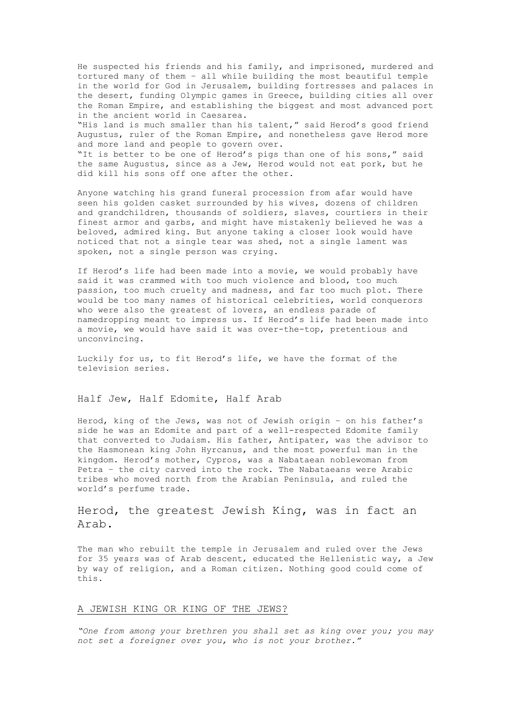He suspected his friends and his family, and imprisoned, murdered and tortured many of them – all while building the most beautiful temple in the world for God in Jerusalem, building fortresses and palaces in the desert, funding Olympic games in Greece, building cities all over the Roman Empire, and establishing the biggest and most advanced port in the ancient world in Caesarea.

"His land is much smaller than his talent," said Herod's good friend Augustus, ruler of the Roman Empire, and nonetheless gave Herod more and more land and people to govern over.

"It is better to be one of Herod's pigs than one of his sons," said the same Augustus, since as a Jew, Herod would not eat pork, but he did kill his sons off one after the other.

Anyone watching his grand funeral procession from afar would have seen his golden casket surrounded by his wives, dozens of children and grandchildren, thousands of soldiers, slaves, courtiers in their finest armor and garbs, and might have mistakenly believed he was a beloved, admired king. But anyone taking a closer look would have noticed that not a single tear was shed, not a single lament was spoken, not a single person was crying.

If Herod's life had been made into a movie, we would probably have said it was crammed with too much violence and blood, too much passion, too much cruelty and madness, and far too much plot. There would be too many names of historical celebrities, world conquerors who were also the greatest of lovers, an endless parade of namedropping meant to impress us. If Herod's life had been made into a movie, we would have said it was over-the-top, pretentious and unconvincing.

Luckily for us, to fit Herod's life, we have the format of the television series.

## Half Jew, Half Edomite, Half Arab

Herod, king of the Jews, was not of Jewish origin – on his father's side he was an Edomite and part of a well-respected Edomite family that converted to Judaism. His father, Antipater, was the advisor to the Hasmonean king John Hyrcanus, and the most powerful man in the kingdom. Herod's mother, Cypros, was a Nabataean noblewoman from Petra – the city carved into the rock. The Nabataeans were Arabic tribes who moved north from the Arabian Peninsula, and ruled the world's perfume trade.

# Herod, the greatest Jewish King, was in fact an Arab.

The man who rebuilt the temple in Jerusalem and ruled over the Jews for 35 years was of Arab descent, educated the Hellenistic way, a Jew by way of religion, and a Roman citizen. Nothing good could come of this.

### A JEWISH KING OR KING OF THE JEWS?

*"One from among your brethren you shall set as king over you; you may not set a foreigner over you, who is not your brother."*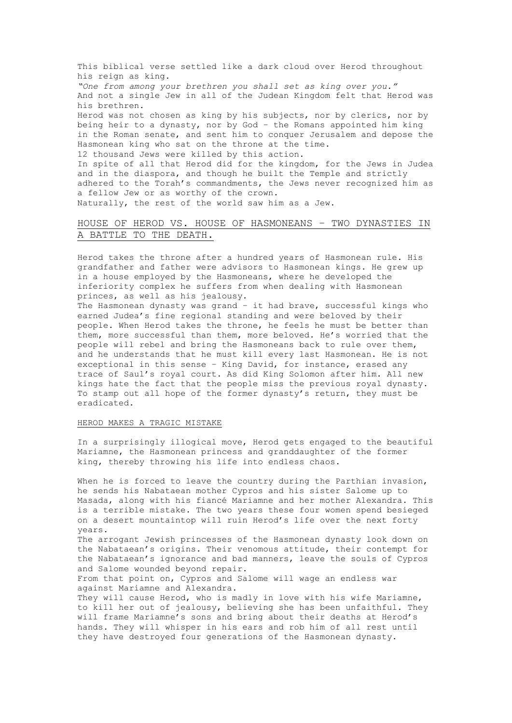This biblical verse settled like a dark cloud over Herod throughout his reign as king. *"One from among your brethren you shall set as king over you."* And not a single Jew in all of the Judean Kingdom felt that Herod was his brethren. Herod was not chosen as king by his subjects, nor by clerics, nor by being heir to a dynasty, nor by God – the Romans appointed him king in the Roman senate, and sent him to conquer Jerusalem and depose the Hasmonean king who sat on the throne at the time. 12 thousand Jews were killed by this action.

In spite of all that Herod did for the kingdom, for the Jews in Judea and in the diaspora, and though he built the Temple and strictly adhered to the Torah's commandments, the Jews never recognized him as a fellow Jew or as worthy of the crown. Naturally, the rest of the world saw him as a Jew.

## HOUSE OF HEROD VS. HOUSE OF HASMONEANS – TWO DYNASTIES IN A BATTLE TO THE DEATH.

Herod takes the throne after a hundred years of Hasmonean rule. His grandfather and father were advisors to Hasmonean kings. He grew up in a house employed by the Hasmoneans, where he developed the inferiority complex he suffers from when dealing with Hasmonean princes, as well as his jealousy.

The Hasmonean dynasty was grand – it had brave, successful kings who earned Judea's fine regional standing and were beloved by their people. When Herod takes the throne, he feels he must be better than them, more successful than them, more beloved. He's worried that the people will rebel and bring the Hasmoneans back to rule over them, and he understands that he must kill every last Hasmonean. He is not exceptional in this sense – King David, for instance, erased any trace of Saul's royal court. As did King Solomon after him. All new kings hate the fact that the people miss the previous royal dynasty. To stamp out all hope of the former dynasty's return, they must be eradicated.

## HEROD MAKES A TRAGIC MISTAKE

In a surprisingly illogical move, Herod gets engaged to the beautiful Mariamne, the Hasmonean princess and granddaughter of the former king, thereby throwing his life into endless chaos.

When he is forced to leave the country during the Parthian invasion, he sends his Nabataean mother Cypros and his sister Salome up to Masada, along with his fiancé Mariamne and her mother Alexandra. This is a terrible mistake. The two years these four women spend besieged on a desert mountaintop will ruin Herod's life over the next forty years.

The arrogant Jewish princesses of the Hasmonean dynasty look down on the Nabataean's origins. Their venomous attitude, their contempt for the Nabataean's ignorance and bad manners, leave the souls of Cypros and Salome wounded beyond repair.

From that point on, Cypros and Salome will wage an endless war against Mariamne and Alexandra.

They will cause Herod, who is madly in love with his wife Mariamne, to kill her out of jealousy, believing she has been unfaithful. They will frame Mariamne's sons and bring about their deaths at Herod's hands. They will whisper in his ears and rob him of all rest until they have destroyed four generations of the Hasmonean dynasty.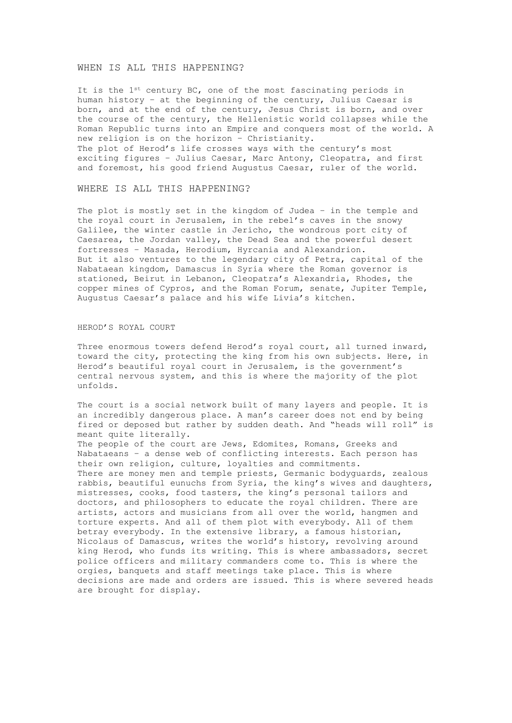#### WHEN IS ALL THIS HAPPENING?

It is the 1st century BC, one of the most fascinating periods in human history – at the beginning of the century, Julius Caesar is born, and at the end of the century, Jesus Christ is born, and over the course of the century, the Hellenistic world collapses while the Roman Republic turns into an Empire and conquers most of the world. A new religion is on the horizon – Christianity. The plot of Herod's life crosses ways with the century's most

exciting figures – Julius Caesar, Marc Antony, Cleopatra, and first and foremost, his good friend Augustus Caesar, ruler of the world.

#### WHERE IS ALL THIS HAPPENING?

The plot is mostly set in the kingdom of Judea – in the temple and the royal court in Jerusalem, in the rebel's caves in the snowy Galilee, the winter castle in Jericho, the wondrous port city of Caesarea, the Jordan valley, the Dead Sea and the powerful desert fortresses – Masada, Herodium, Hyrcania and Alexandrion. But it also ventures to the legendary city of Petra, capital of the Nabataean kingdom, Damascus in Syria where the Roman governor is stationed, Beirut in Lebanon, Cleopatra's Alexandria, Rhodes, the copper mines of Cypros, and the Roman Forum, senate, Jupiter Temple, Augustus Caesar's palace and his wife Livia's kitchen.

#### HEROD'S ROYAL COURT

Three enormous towers defend Herod's royal court, all turned inward, toward the city, protecting the king from his own subjects. Here, in Herod's beautiful royal court in Jerusalem, is the government's central nervous system, and this is where the majority of the plot unfolds.

The court is a social network built of many layers and people. It is an incredibly dangerous place. A man's career does not end by being fired or deposed but rather by sudden death. And "heads will roll" is meant quite literally.

The people of the court are Jews, Edomites, Romans, Greeks and Nabataeans – a dense web of conflicting interests. Each person has their own religion, culture, loyalties and commitments. There are money men and temple priests, Germanic bodyguards, zealous rabbis, beautiful eunuchs from Syria, the king's wives and daughters, mistresses, cooks, food tasters, the king's personal tailors and doctors, and philosophers to educate the royal children. There are artists, actors and musicians from all over the world, hangmen and torture experts. And all of them plot with everybody. All of them betray everybody. In the extensive library, a famous historian, Nicolaus of Damascus, writes the world's history, revolving around king Herod, who funds its writing. This is where ambassadors, secret police officers and military commanders come to. This is where the orgies, banquets and staff meetings take place. This is where decisions are made and orders are issued. This is where severed heads are brought for display.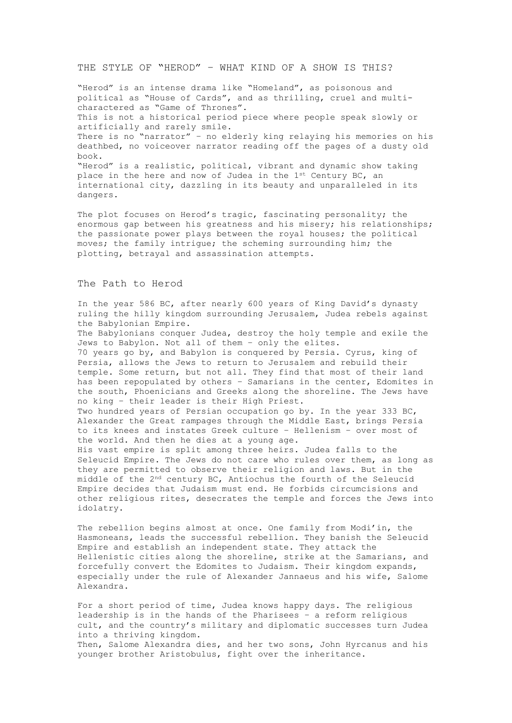## THE STYLE OF "HEROD" – WHAT KIND OF A SHOW IS THIS?

"Herod" is an intense drama like "Homeland", as poisonous and political as "House of Cards", and as thrilling, cruel and multicharactered as "Game of Thrones". This is not a historical period piece where people speak slowly or artificially and rarely smile. There is no "narrator" – no elderly king relaying his memories on his deathbed, no voiceover narrator reading off the pages of a dusty old book. "Herod" is a realistic, political, vibrant and dynamic show taking place in the here and now of Judea in the 1st Century BC, an

international city, dazzling in its beauty and unparalleled in its dangers.

The plot focuses on Herod's tragic, fascinating personality; the enormous gap between his greatness and his misery; his relationships; the passionate power plays between the royal houses; the political moves; the family intrigue; the scheming surrounding him; the plotting, betrayal and assassination attempts.

#### The Path to Herod

In the year 586 BC, after nearly 600 years of King David's dynasty ruling the hilly kingdom surrounding Jerusalem, Judea rebels against the Babylonian Empire.

The Babylonians conquer Judea, destroy the holy temple and exile the Jews to Babylon. Not all of them – only the elites. 70 years go by, and Babylon is conquered by Persia. Cyrus, king of Persia, allows the Jews to return to Jerusalem and rebuild their temple. Some return, but not all. They find that most of their land has been repopulated by others – Samarians in the center, Edomites in the south, Phoenicians and Greeks along the shoreline. The Jews have no king – their leader is their High Priest.

Two hundred years of Persian occupation go by. In the year 333 BC, Alexander the Great rampages through the Middle East, brings Persia to its knees and instates Greek culture – Hellenism – over most of the world. And then he dies at a young age.

His vast empire is split among three heirs. Judea falls to the Seleucid Empire. The Jews do not care who rules over them, as long as they are permitted to observe their religion and laws. But in the middle of the 2nd century BC, Antiochus the fourth of the Seleucid Empire decides that Judaism must end. He forbids circumcisions and other religious rites, desecrates the temple and forces the Jews into idolatry.

The rebellion begins almost at once. One family from Modi'in, the Hasmoneans, leads the successful rebellion. They banish the Seleucid Empire and establish an independent state. They attack the Hellenistic cities along the shoreline, strike at the Samarians, and forcefully convert the Edomites to Judaism. Their kingdom expands, especially under the rule of Alexander Jannaeus and his wife, Salome Alexandra.

For a short period of time, Judea knows happy days. The religious leadership is in the hands of the Pharisees – a reform religious cult, and the country's military and diplomatic successes turn Judea into a thriving kingdom. Then, Salome Alexandra dies, and her two sons, John Hyrcanus and his younger brother Aristobulus, fight over the inheritance.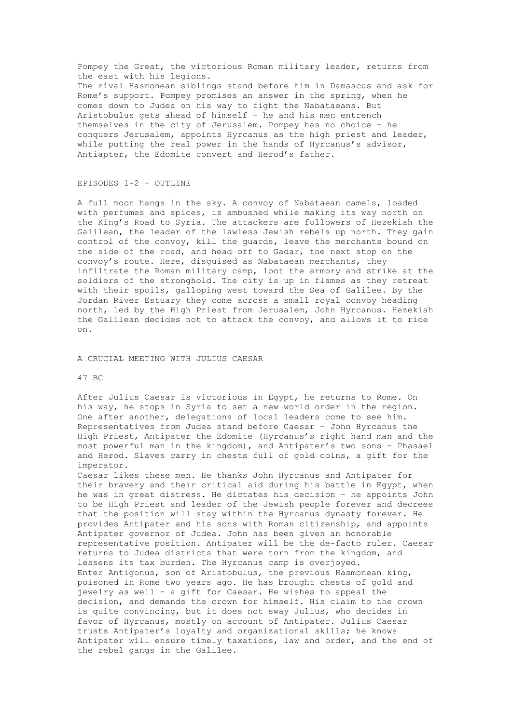Pompey the Great, the victorious Roman military leader, returns from the east with his legions. The rival Hasmonean siblings stand before him in Damascus and ask for Rome's support. Pompey promises an answer in the spring, when he comes down to Judea on his way to fight the Nabataeans. But Aristobulus gets ahead of himself – he and his men entrench themselves in the city of Jerusalem. Pompey has no choice – he conquers Jerusalem, appoints Hyrcanus as the high priest and leader, while putting the real power in the hands of Hyrcanus's advisor, Antiapter, the Edomite convert and Herod's father.

## EPISODES 1-2 – OUTLINE

A full moon hangs in the sky. A convoy of Nabataean camels, loaded with perfumes and spices, is ambushed while making its way north on the King's Road to Syria. The attackers are followers of Hezekiah the Galilean, the leader of the lawless Jewish rebels up north. They gain control of the convoy, kill the guards, leave the merchants bound on the side of the road, and head off to Gadar, the next stop on the convoy's route. Here, disguised as Nabataean merchants, they infiltrate the Roman military camp, loot the armory and strike at the soldiers of the stronghold. The city is up in flames as they retreat with their spoils, galloping west toward the Sea of Galilee. By the Jordan River Estuary they come across a small royal convoy heading north, led by the High Priest from Jerusalem, John Hyrcanus. Hezekiah the Galilean decides not to attack the convoy, and allows it to ride on.

#### A CRUCIAL MEETING WITH JULIUS CAESAR

#### 47 BC

After Julius Caesar is victorious in Egypt, he returns to Rome. On his way, he stops in Syria to set a new world order in the region. One after another, delegations of local leaders come to see him. Representatives from Judea stand before Caesar – John Hyrcanus the High Priest, Antipater the Edomite (Hyrcanus's right hand man and the most powerful man in the kingdom), and Antipater's two sons – Phasael and Herod. Slaves carry in chests full of gold coins, a gift for the imperator.

Caesar likes these men. He thanks John Hyrcanus and Antipater for their bravery and their critical aid during his battle in Egypt, when he was in great distress. He dictates his decision – he appoints John to be High Priest and leader of the Jewish people forever and decrees that the position will stay within the Hyrcanus dynasty forever. He provides Antipater and his sons with Roman citizenship, and appoints Antipater governor of Judea. John has been given an honorable representative position. Antipater will be the de-facto ruler. Caesar returns to Judea districts that were torn from the kingdom, and lessens its tax burden. The Hyrcanus camp is overjoyed. Enter Antigonus, son of Aristobulus, the previous Hasmonean king, poisoned in Rome two years ago. He has brought chests of gold and jewelry as well – a gift for Caesar. He wishes to appeal the decision, and demands the crown for himself. His claim to the crown is quite convincing, but it does not sway Julius, who decides in favor of Hyrcanus, mostly on account of Antipater. Julius Caesar trusts Antipater's loyalty and organizational skills; he knows Antipater will ensure timely taxations, law and order, and the end of the rebel gangs in the Galilee.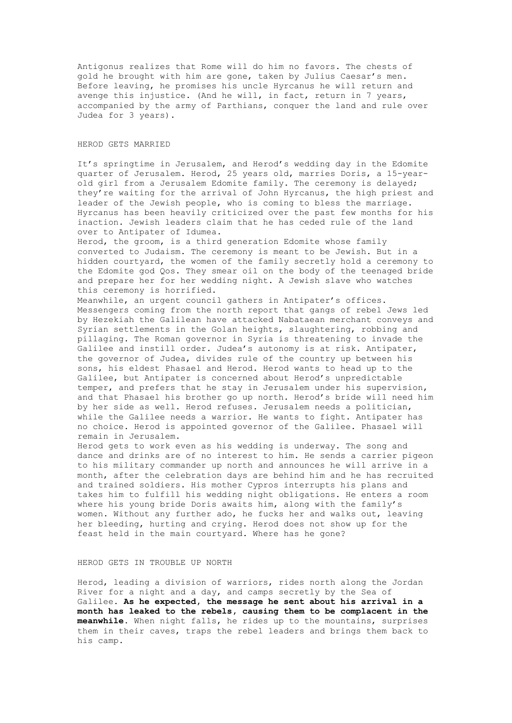Antigonus realizes that Rome will do him no favors. The chests of gold he brought with him are gone, taken by Julius Caesar's men. Before leaving, he promises his uncle Hyrcanus he will return and avenge this injustice. (And he will, in fact, return in 7 years, accompanied by the army of Parthians, conquer the land and rule over Judea for 3 years).

#### HEROD GETS MARRIED

It's springtime in Jerusalem, and Herod's wedding day in the Edomite quarter of Jerusalem. Herod, 25 years old, marries Doris, a 15-yearold girl from a Jerusalem Edomite family. The ceremony is delayed; they're waiting for the arrival of John Hyrcanus, the high priest and leader of the Jewish people, who is coming to bless the marriage. Hyrcanus has been heavily criticized over the past few months for his inaction. Jewish leaders claim that he has ceded rule of the land over to Antipater of Idumea.

Herod, the groom, is a third generation Edomite whose family converted to Judaism. The ceremony is meant to be Jewish. But in a hidden courtyard, the women of the family secretly hold a ceremony to the Edomite god Qos. They smear oil on the body of the teenaged bride and prepare her for her wedding night. A Jewish slave who watches this ceremony is horrified.

Meanwhile, an urgent council gathers in Antipater's offices. Messengers coming from the north report that gangs of rebel Jews led by Hezekiah the Galilean have attacked Nabataean merchant conveys and Syrian settlements in the Golan heights, slaughtering, robbing and pillaging. The Roman governor in Syria is threatening to invade the Galilee and instill order. Judea's autonomy is at risk. Antipater, the governor of Judea, divides rule of the country up between his sons, his eldest Phasael and Herod. Herod wants to head up to the Galilee, but Antipater is concerned about Herod's unpredictable temper, and prefers that he stay in Jerusalem under his supervision, and that Phasael his brother go up north. Herod's bride will need him by her side as well. Herod refuses. Jerusalem needs a politician, while the Galilee needs a warrior. He wants to fight. Antipater has no choice. Herod is appointed governor of the Galilee. Phasael will remain in Jerusalem.

Herod gets to work even as his wedding is underway. The song and dance and drinks are of no interest to him. He sends a carrier pigeon to his military commander up north and announces he will arrive in a month, after the celebration days are behind him and he has recruited and trained soldiers. His mother Cypros interrupts his plans and takes him to fulfill his wedding night obligations. He enters a room where his young bride Doris awaits him, along with the family's women. Without any further ado, he fucks her and walks out, leaving her bleeding, hurting and crying. Herod does not show up for the feast held in the main courtyard. Where has he gone?

#### HEROD GETS IN TROUBLE UP NORTH

Herod, leading a division of warriors, rides north along the Jordan River for a night and a day, and camps secretly by the Sea of Galilee. **As he expected, the message he sent about his arrival in a month has leaked to the rebels, causing them to be complacent in the meanwhile.** When night falls, he rides up to the mountains, surprises them in their caves, traps the rebel leaders and brings them back to his camp.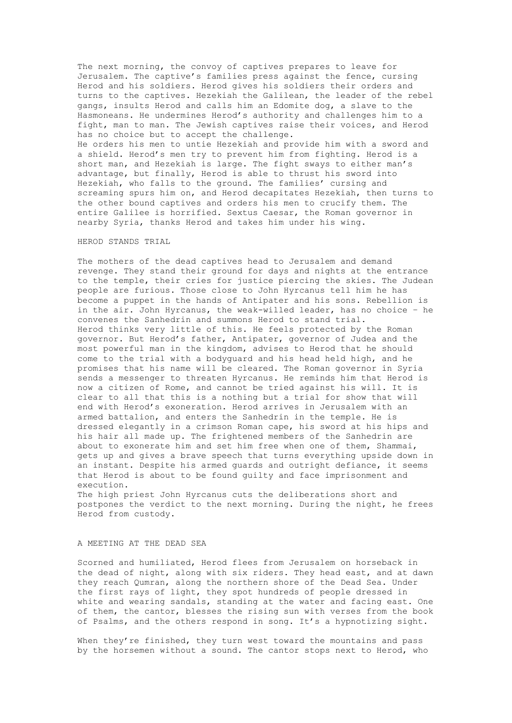The next morning, the convoy of captives prepares to leave for Jerusalem. The captive's families press against the fence, cursing Herod and his soldiers. Herod gives his soldiers their orders and turns to the captives. Hezekiah the Galilean, the leader of the rebel gangs, insults Herod and calls him an Edomite dog, a slave to the Hasmoneans. He undermines Herod's authority and challenges him to a fight, man to man. The Jewish captives raise their voices, and Herod has no choice but to accept the challenge. He orders his men to untie Hezekiah and provide him with a sword and a shield. Herod's men try to prevent him from fighting. Herod is a short man, and Hezekiah is large. The fight sways to either man's advantage, but finally, Herod is able to thrust his sword into Hezekiah, who falls to the ground. The families' cursing and screaming spurs him on, and Herod decapitates Hezekiah, then turns to the other bound captives and orders his men to crucify them. The entire Galilee is horrified. Sextus Caesar, the Roman governor in nearby Syria, thanks Herod and takes him under his wing.

#### HEROD STANDS TRIAL

The mothers of the dead captives head to Jerusalem and demand revenge. They stand their ground for days and nights at the entrance to the temple, their cries for justice piercing the skies. The Judean people are furious. Those close to John Hyrcanus tell him he has become a puppet in the hands of Antipater and his sons. Rebellion is in the air. John Hyrcanus, the weak-willed leader, has no choice – he convenes the Sanhedrin and summons Herod to stand trial. Herod thinks very little of this. He feels protected by the Roman governor. But Herod's father, Antipater, governor of Judea and the most powerful man in the kingdom, advises to Herod that he should come to the trial with a bodyguard and his head held high, and he promises that his name will be cleared. The Roman governor in Syria sends a messenger to threaten Hyrcanus. He reminds him that Herod is now a citizen of Rome, and cannot be tried against his will. It is clear to all that this is a nothing but a trial for show that will end with Herod's exoneration. Herod arrives in Jerusalem with an armed battalion, and enters the Sanhedrin in the temple. He is dressed elegantly in a crimson Roman cape, his sword at his hips and his hair all made up. The frightened members of the Sanhedrin are about to exonerate him and set him free when one of them, Shammai, gets up and gives a brave speech that turns everything upside down in an instant. Despite his armed guards and outright defiance, it seems that Herod is about to be found guilty and face imprisonment and execution.

The high priest John Hyrcanus cuts the deliberations short and postpones the verdict to the next morning. During the night, he frees Herod from custody.

### A MEETING AT THE DEAD SEA

Scorned and humiliated, Herod flees from Jerusalem on horseback in the dead of night, along with six riders. They head east, and at dawn they reach Qumran, along the northern shore of the Dead Sea. Under the first rays of light, they spot hundreds of people dressed in white and wearing sandals, standing at the water and facing east. One of them, the cantor, blesses the rising sun with verses from the book of Psalms, and the others respond in song. It's a hypnotizing sight.

When they're finished, they turn west toward the mountains and pass by the horsemen without a sound. The cantor stops next to Herod, who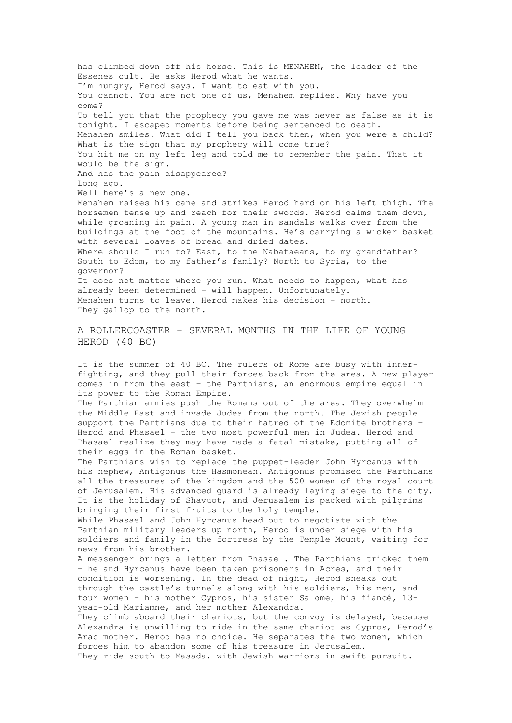has climbed down off his horse. This is MENAHEM, the leader of the Essenes cult. He asks Herod what he wants. I'm hungry, Herod says. I want to eat with you. You cannot. You are not one of us, Menahem replies. Why have you come? To tell you that the prophecy you gave me was never as false as it is tonight. I escaped moments before being sentenced to death. Menahem smiles. What did I tell you back then, when you were a child? What is the sign that my prophecy will come true? You hit me on my left leg and told me to remember the pain. That it would be the sign. And has the pain disappeared? Long ago. Well here's a new one. Menahem raises his cane and strikes Herod hard on his left thigh. The horsemen tense up and reach for their swords. Herod calms them down, while groaning in pain. A young man in sandals walks over from the buildings at the foot of the mountains. He's carrying a wicker basket with several loaves of bread and dried dates. Where should I run to? East, to the Nabataeans, to my grandfather? South to Edom, to my father's family? North to Syria, to the governor? It does not matter where you run. What needs to happen, what has already been determined – will happen. Unfortunately. Menahem turns to leave. Herod makes his decision – north. They gallop to the north. A ROLLERCOASTER – SEVERAL MONTHS IN THE LIFE OF YOUNG HEROD (40 BC) It is the summer of 40 BC. The rulers of Rome are busy with innerfighting, and they pull their forces back from the area. A new player comes in from the east – the Parthians, an enormous empire equal in its power to the Roman Empire. The Parthian armies push the Romans out of the area. They overwhelm the Middle East and invade Judea from the north. The Jewish people support the Parthians due to their hatred of the Edomite brothers – Herod and Phasael – the two most powerful men in Judea. Herod and Phasael realize they may have made a fatal mistake, putting all of their eggs in the Roman basket. The Parthians wish to replace the puppet-leader John Hyrcanus with his nephew, Antigonus the Hasmonean. Antigonus promised the Parthians all the treasures of the kingdom and the 500 women of the royal court of Jerusalem. His advanced guard is already laying siege to the city. It is the holiday of Shavuot, and Jerusalem is packed with pilgrims bringing their first fruits to the holy temple. While Phasael and John Hyrcanus head out to negotiate with the Parthian military leaders up north, Herod is under siege with his soldiers and family in the fortress by the Temple Mount, waiting for

news from his brother.

A messenger brings a letter from Phasael. The Parthians tricked them – he and Hyrcanus have been taken prisoners in Acres, and their condition is worsening. In the dead of night, Herod sneaks out through the castle's tunnels along with his soldiers, his men, and four women – his mother Cypros, his sister Salome, his fiancé, 13 year-old Mariamne, and her mother Alexandra.

They climb aboard their chariots, but the convoy is delayed, because Alexandra is unwilling to ride in the same chariot as Cypros, Herod's Arab mother. Herod has no choice. He separates the two women, which forces him to abandon some of his treasure in Jerusalem. They ride south to Masada, with Jewish warriors in swift pursuit.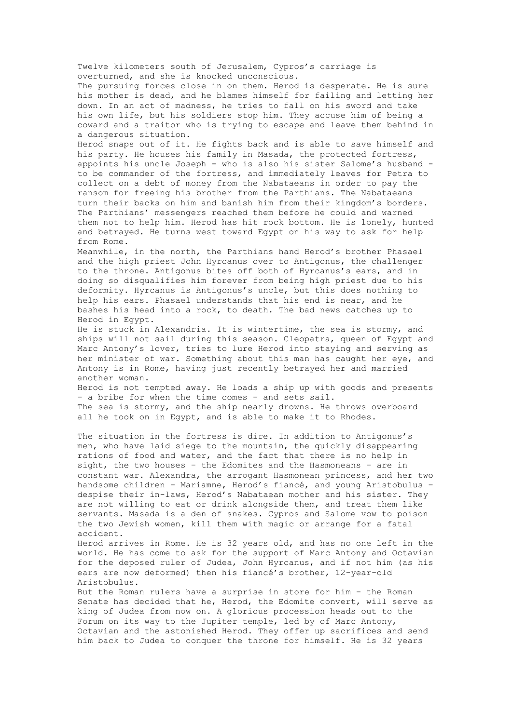Twelve kilometers south of Jerusalem, Cypros's carriage is overturned, and she is knocked unconscious.

The pursuing forces close in on them. Herod is desperate. He is sure his mother is dead, and he blames himself for failing and letting her down. In an act of madness, he tries to fall on his sword and take his own life, but his soldiers stop him. They accuse him of being a coward and a traitor who is trying to escape and leave them behind in a dangerous situation.

Herod snaps out of it. He fights back and is able to save himself and his party. He houses his family in Masada, the protected fortress, appoints his uncle Joseph - who is also his sister Salome's husband to be commander of the fortress, and immediately leaves for Petra to collect on a debt of money from the Nabataeans in order to pay the ransom for freeing his brother from the Parthians. The Nabataeans turn their backs on him and banish him from their kingdom's borders. The Parthians' messengers reached them before he could and warned them not to help him. Herod has hit rock bottom. He is lonely, hunted and betrayed. He turns west toward Egypt on his way to ask for help from Rome.

Meanwhile, in the north, the Parthians hand Herod's brother Phasael and the high priest John Hyrcanus over to Antigonus, the challenger to the throne. Antigonus bites off both of Hyrcanus's ears, and in doing so disqualifies him forever from being high priest due to his deformity. Hyrcanus is Antigonus's uncle, but this does nothing to help his ears. Phasael understands that his end is near, and he bashes his head into a rock, to death. The bad news catches up to Herod in Egypt.

He is stuck in Alexandria. It is wintertime, the sea is stormy, and ships will not sail during this season. Cleopatra, queen of Egypt and Marc Antony's lover, tries to lure Herod into staying and serving as her minister of war. Something about this man has caught her eye, and Antony is in Rome, having just recently betrayed her and married another woman.

Herod is not tempted away. He loads a ship up with goods and presents – a bribe for when the time comes – and sets sail. The sea is stormy, and the ship nearly drowns. He throws overboard all he took on in Egypt, and is able to make it to Rhodes.

The situation in the fortress is dire. In addition to Antigonus's men, who have laid siege to the mountain, the quickly disappearing rations of food and water, and the fact that there is no help in sight, the two houses – the Edomites and the Hasmoneans – are in constant war. Alexandra, the arrogant Hasmonean princess, and her two handsome children – Mariamne, Herod's fiancé, and young Aristobulus – despise their in-laws, Herod's Nabataean mother and his sister. They are not willing to eat or drink alongside them, and treat them like servants. Masada is a den of snakes. Cypros and Salome vow to poison the two Jewish women, kill them with magic or arrange for a fatal accident.

Herod arrives in Rome. He is 32 years old, and has no one left in the world. He has come to ask for the support of Marc Antony and Octavian for the deposed ruler of Judea, John Hyrcanus, and if not him (as his ears are now deformed) then his fiancé's brother, 12-year-old Aristobulus.

But the Roman rulers have a surprise in store for him – the Roman Senate has decided that he, Herod, the Edomite convert, will serve as king of Judea from now on. A glorious procession heads out to the Forum on its way to the Jupiter temple, led by of Marc Antony, Octavian and the astonished Herod. They offer up sacrifices and send him back to Judea to conquer the throne for himself. He is 32 years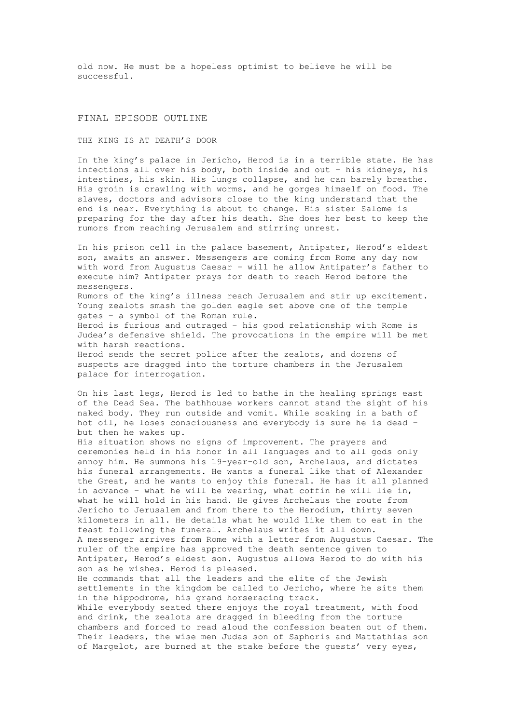old now. He must be a hopeless optimist to believe he will be successful.

### FINAL EPISODE OUTLINE

THE KING IS AT DEATH'S DOOR

In the king's palace in Jericho, Herod is in a terrible state. He has infections all over his body, both inside and out – his kidneys, his intestines, his skin. His lungs collapse, and he can barely breathe. His groin is crawling with worms, and he gorges himself on food. The slaves, doctors and advisors close to the king understand that the end is near. Everything is about to change. His sister Salome is preparing for the day after his death. She does her best to keep the rumors from reaching Jerusalem and stirring unrest.

In his prison cell in the palace basement, Antipater, Herod's eldest son, awaits an answer. Messengers are coming from Rome any day now with word from Augustus Caesar – will he allow Antipater's father to execute him? Antipater prays for death to reach Herod before the messengers. Rumors of the king's illness reach Jerusalem and stir up excitement. Young zealots smash the golden eagle set above one of the temple gates – a symbol of the Roman rule. Herod is furious and outraged – his good relationship with Rome is Judea's defensive shield. The provocations in the empire will be met with harsh reactions. Herod sends the secret police after the zealots, and dozens of suspects are dragged into the torture chambers in the Jerusalem palace for interrogation.

On his last legs, Herod is led to bathe in the healing springs east of the Dead Sea. The bathhouse workers cannot stand the sight of his naked body. They run outside and vomit. While soaking in a bath of hot oil, he loses consciousness and everybody is sure he is dead – but then he wakes up.

His situation shows no signs of improvement. The prayers and ceremonies held in his honor in all languages and to all gods only annoy him. He summons his 19-year-old son, Archelaus, and dictates his funeral arrangements. He wants a funeral like that of Alexander the Great, and he wants to enjoy this funeral. He has it all planned in advance – what he will be wearing, what coffin he will lie in, what he will hold in his hand. He gives Archelaus the route from Jericho to Jerusalem and from there to the Herodium, thirty seven kilometers in all. He details what he would like them to eat in the feast following the funeral. Archelaus writes it all down. A messenger arrives from Rome with a letter from Augustus Caesar. The ruler of the empire has approved the death sentence given to Antipater, Herod's eldest son. Augustus allows Herod to do with his son as he wishes. Herod is pleased.

He commands that all the leaders and the elite of the Jewish settlements in the kingdom be called to Jericho, where he sits them in the hippodrome, his grand horseracing track.

While everybody seated there enjoys the royal treatment, with food and drink, the zealots are dragged in bleeding from the torture chambers and forced to read aloud the confession beaten out of them. Their leaders, the wise men Judas son of Saphoris and Mattathias son of Margelot, are burned at the stake before the guests' very eyes,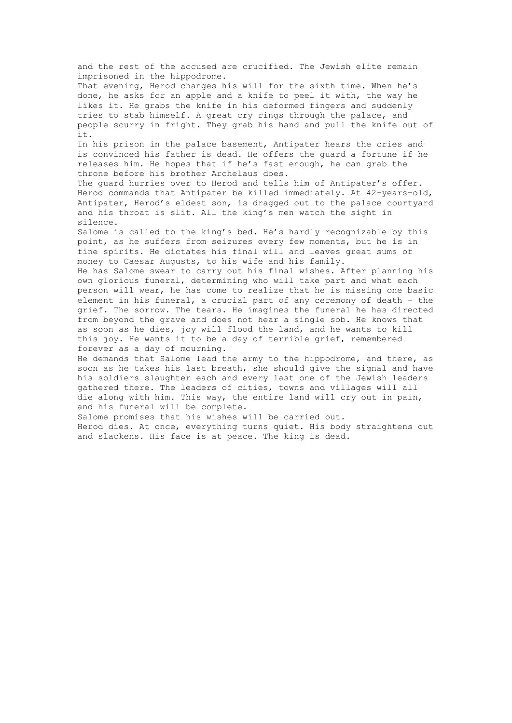and the rest of the accused are crucified. The Jewish elite remain imprisoned in the hippodrome. That evening, Herod changes his will for the sixth time. When he's done, he asks for an apple and a knife to peel it with, the way he likes it. He grabs the knife in his deformed fingers and suddenly tries to stab himself. A great cry rings through the palace, and people scurry in fright. They grab his hand and pull the knife out of it. In his prison in the palace basement, Antipater hears the cries and is convinced his father is dead. He offers the guard a fortune if he releases him. He hopes that if he's fast enough, he can grab the throne before his brother Archelaus does. The guard hurries over to Herod and tells him of Antipater's offer. Herod commands that Antipater be killed immediately. At 42-years-old, Antipater, Herod's eldest son, is dragged out to the palace courtyard and his throat is slit. All the king's men watch the sight in silence. Salome is called to the king's bed. He's hardly recognizable by this point, as he suffers from seizures every few moments, but he is in fine spirits. He dictates his final will and leaves great sums of money to Caesar Augusts, to his wife and his family. He has Salome swear to carry out his final wishes. After planning his own glorious funeral, determining who will take part and what each person will wear, he has come to realize that he is missing one basic element in his funeral, a crucial part of any ceremony of death – the grief. The sorrow. The tears. He imagines the funeral he has directed from beyond the grave and does not hear a single sob. He knows that as soon as he dies, joy will flood the land, and he wants to kill this joy. He wants it to be a day of terrible grief, remembered forever as a day of mourning. He demands that Salome lead the army to the hippodrome, and there, as soon as he takes his last breath, she should give the signal and have his soldiers slaughter each and every last one of the Jewish leaders gathered there. The leaders of cities, towns and villages will all die along with him. This way, the entire land will cry out in pain,

and his funeral will be complete. Salome promises that his wishes will be carried out. Herod dies. At once, everything turns quiet. His body straightens out and slackens. His face is at peace. The king is dead.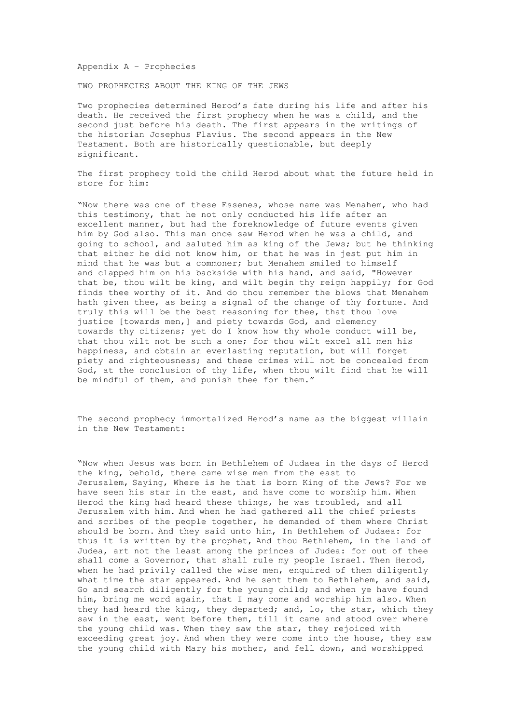Appendix A – Prophecies

TWO PROPHECIES ABOUT THE KING OF THE JEWS

Two prophecies determined Herod's fate during his life and after his death. He received the first prophecy when he was a child, and the second just before his death. The first appears in the writings of the historian Josephus Flavius. The second appears in the New Testament. Both are historically questionable, but deeply significant.

The first prophecy told the child Herod about what the future held in store for him:

"Now there was one of these Essenes, whose name was Menahem, who had this testimony, that he not only conducted his life after an excellent manner, but had the foreknowledge of future events given him by God also. This man once saw Herod when he was a child, and going to school, and saluted him as king of the Jews; but he thinking that either he did not know him, or that he was in jest put him in mind that he was but a commoner; but Menahem smiled to himself and clapped him on his backside with his hand, and said, "However that be, thou wilt be king, and wilt begin thy reign happily; for God finds thee worthy of it. And do thou remember the blows that Menahem hath given thee, as being a signal of the change of thy fortune. And truly this will be the best reasoning for thee, that thou love justice [towards men,] and piety towards God, and clemency towards thy citizens; yet do I know how thy whole conduct will be, that thou wilt not be such a one; for thou wilt excel all men his happiness, and obtain an everlasting reputation, but will forget piety and righteousness; and these crimes will not be concealed from God, at the conclusion of thy life, when thou wilt find that he will be mindful of them, and punish thee for them."

The second prophecy immortalized Herod's name as the biggest villain in the New Testament:

"Now when Jesus was born in Bethlehem of Judaea in the days of Herod the king, behold, there came wise men from the east to Jerusalem, Saying, Where is he that is born King of the Jews? For we have seen his star in the east, and have come to worship him. When Herod the king had heard these things, he was troubled, and all Jerusalem with him. And when he had gathered all the chief priests and scribes of the people together, he demanded of them where Christ should be born. And they said unto him, In Bethlehem of Judaea: for thus it is written by the prophet, And thou Bethlehem, in the land of Judea, art not the least among the princes of Judea: for out of thee shall come a Governor, that shall rule my people Israel. Then Herod, when he had privily called the wise men, enquired of them diligently what time the star appeared. And he sent them to Bethlehem, and said, Go and search diligently for the young child; and when ye have found him, bring me word again, that I may come and worship him also. When they had heard the king, they departed; and, lo, the star, which they saw in the east, went before them, till it came and stood over where the young child was. When they saw the star, they rejoiced with exceeding great joy. And when they were come into the house, they saw the young child with Mary his mother, and fell down, and worshipped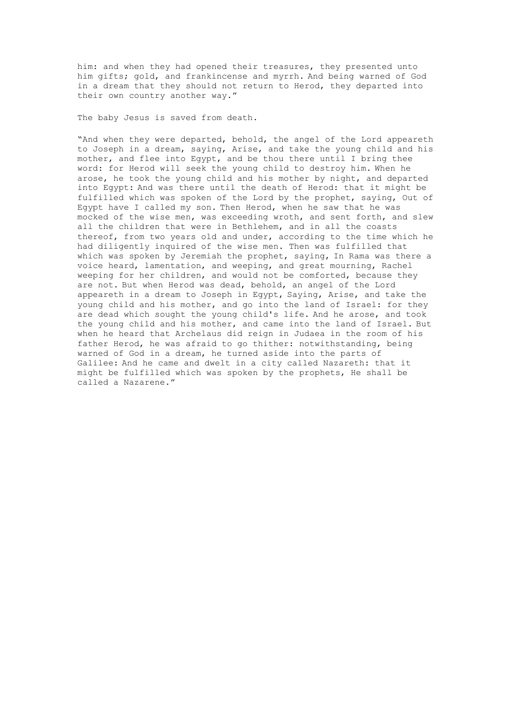him: and when they had opened their treasures, they presented unto him gifts; gold, and frankincense and myrrh. And being warned of God in a dream that they should not return to Herod, they departed into their own country another way."

The baby Jesus is saved from death.

"And when they were departed, behold, the angel of the Lord appeareth to Joseph in a dream, saying, Arise, and take the young child and his mother, and flee into Egypt, and be thou there until I bring thee word: for Herod will seek the young child to destroy him. When he arose, he took the young child and his mother by night, and departed into Egypt: And was there until the death of Herod: that it might be fulfilled which was spoken of the Lord by the prophet, saying, Out of Egypt have I called my son. Then Herod, when he saw that he was mocked of the wise men, was exceeding wroth, and sent forth, and slew all the children that were in Bethlehem, and in all the coasts thereof, from two years old and under, according to the time which he had diligently inquired of the wise men. Then was fulfilled that which was spoken by Jeremiah the prophet, saying, In Rama was there a voice heard, lamentation, and weeping, and great mourning, Rachel weeping for her children, and would not be comforted, because they are not. But when Herod was dead, behold, an angel of the Lord appeareth in a dream to Joseph in Egypt, Saying, Arise, and take the young child and his mother, and go into the land of Israel: for they are dead which sought the young child's life. And he arose, and took the young child and his mother, and came into the land of Israel. But when he heard that Archelaus did reign in Judaea in the room of his father Herod, he was afraid to go thither: notwithstanding, being warned of God in a dream, he turned aside into the parts of Galilee: And he came and dwelt in a city called Nazareth: that it might be fulfilled which was spoken by the prophets, He shall be called a Nazarene."